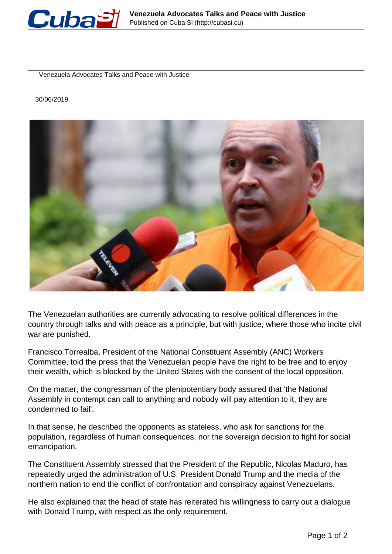

Venezuela Advocates Talks and Peace with Justice

30/06/2019



The Venezuelan authorities are currently advocating to resolve political differences in the country through talks and with peace as a principle, but with justice, where those who incite civil war are punished.

Francisco Torrealba, President of the National Constituent Assembly (ANC) Workers Committee, told the press that the Venezuelan people have the right to be free and to enjoy their wealth, which is blocked by the United States with the consent of the local opposition.

On the matter, the congressman of the plenipotentiary body assured that 'the National Assembly in contempt can call to anything and nobody will pay attention to it, they are condemned to fail'.

In that sense, he described the opponents as stateless, who ask for sanctions for the population, regardless of human consequences, nor the sovereign decision to fight for social emancipation.

The Constituent Assembly stressed that the President of the Republic, Nicolas Maduro, has repeatedly urged the administration of U.S. President Donald Trump and the media of the northern nation to end the conflict of confrontation and conspiracy against Venezuelans.

He also explained that the head of state has reiterated his willingness to carry out a dialogue with Donald Trump, with respect as the only requirement.